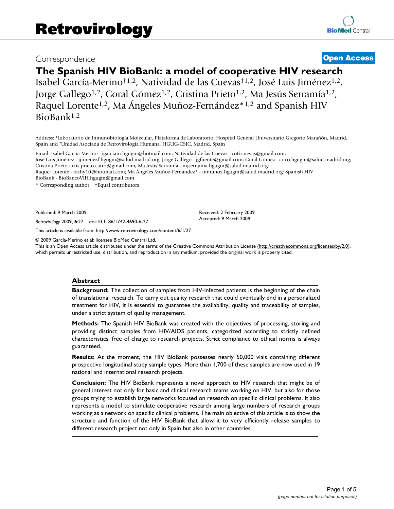# Correspondence **[Open Access](http://www.biomedcentral.com/info/about/charter/)**

# **The Spanish HIV BioBank: a model of cooperative HIV research**

Isabel García-Merino†1,2, Natividad de las Cuevas†1,2, José Luis Jiménez1,2, Jorge Gallego<sup>1,2</sup>, Coral Gómez<sup>1,2</sup>, Cristina Prieto<sup>1,2</sup>, Ma Jesús Serramía<sup>1,2</sup>, Raquel Lorente1,2, Ma Ángeles Muñoz-Fernández\*1,2 and Spanish HIV BioBank1,2

Address: 1Laboratorio de Inmunobiología Molecular, Plataforma de Laboratorio, Hospital General Universitario Gregorio Marañón, Madrid, Spain and 2Unidad Asociada de Retrovirologia Humana, HGUG-CSIC, Madrid, Spain

Email: Isabel García-Merino - igarciam.hgugm@hotmail.com; Natividad de las Cuevas - coti.cuevas@gmail.com;

José Luis Jiménez - jjimenezf.hgugm@salud.madrid.org; Jorge Gallego - jgfuente@gmail.com; Coral Gómez - crico.hgugm@salud.madrid.org; Cristina Prieto - cris.prieto.carro@gmail.com; Ma Jesús Serramía - mjserramia.hgugm@salud.madrid.org;

Raquel Lorente - rachy10@hotmail.com; Ma Ángeles Muñoz-Fernández\* - mmunoz.hgugm@salud.madrid.org; Spanish HIV

BioBank - BioBancoVIH.hgugm@gmail.com

\* Corresponding author †Equal contributors

Published: 9 March 2009

*Retrovirology* 2009, **6**:27 doi:10.1186/1742-4690-6-27

[This article is available from: http://www.retrovirology.com/content/6/1/27](http://www.retrovirology.com/content/6/1/27)

© 2009 García-Merino et al; licensee BioMed Central Ltd.

This is an Open Access article distributed under the terms of the Creative Commons Attribution License [\(http://creativecommons.org/licenses/by/2.0\)](http://creativecommons.org/licenses/by/2.0), which permits unrestricted use, distribution, and reproduction in any medium, provided the original work is properly cited.

Received: 2 February 2009 Accepted: 9 March 2009

#### **Abstract**

**Background:** The collection of samples from HIV-infected patients is the beginning of the chain of translational research. To carry out quality research that could eventually end in a personalized treatment for HIV, it is essential to guarantee the availability, quality and traceability of samples, under a strict system of quality management.

**Methods:** The Spanish HIV BioBank was created with the objectives of processing, storing and providing distinct samples from HIV/AIDS patients, categorized according to strictly defined characteristics, free of charge to research projects. Strict compliance to ethical norms is always guaranteed.

**Results:** At the moment, the HIV BioBank possesses nearly 50,000 vials containing different prospective longitudinal study sample types. More than 1,700 of these samples are now used in 19 national and international research projects.

**Conclusion:** The HIV BioBank represents a novel approach to HIV research that might be of general interest not only for basic and clinical research teams working on HIV, but also for those groups trying to establish large networks focused on research on specific clinical problems. It also represents a model to stimulate cooperative research among large numbers of research groups working as a network on specific clinical problems. The main objective of this article is to show the structure and function of the HIV BioBank that allow it to very efficiently release samples to different research project not only in Spain but also in other countries.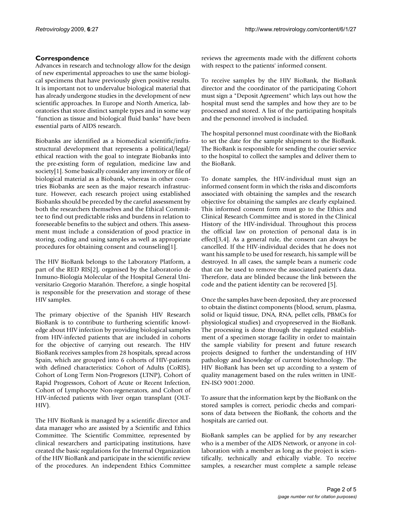## **Correspondence**

Advances in research and technology allow for the design of new experimental approaches to use the same biological specimens that have previously given positive results. It is important not to undervalue biological material that has already undergone studies in the development of new scientific approaches. In Europe and North America, laboratories that store distinct sample types and in some way "function as tissue and biological fluid banks" have been essential parts of AIDS research.

Biobanks are identified as a biomedical scientific/infrastructural development that represents a political/legal/ ethical reaction with the goal to integrate Biobanks into the pre-existing form of regulation, medicine law and society[1]. Some basically consider any inventory or file of biological material as a Biobank, whereas in other countries Biobanks are seen as the major research infrastructure. However, each research project using established Biobanks should be preceded by the careful assessment by both the researchers themselves and the Ethical Committee to find out predictable risks and burdens in relation to foreseeable benefits to the subject and others. This assessment must include a consideration of good practice in storing, coding and using samples as well as appropriate procedures for obtaining consent and counseling[1].

The HIV BioBank belongs to the Laboratory Platform, a part of the RED RIS[2], organised by the Laboratorio de Inmuno-Biología Molecular of the Hospital General Universitario Gregorio Marañón. Therefore, a single hospital is responsible for the preservation and storage of these HIV samples.

The primary objective of the Spanish HIV Research BioBank is to contribute to furthering scientific knowledge about HIV infection by providing biological samples from HIV-infected patients that are included in cohorts for the objective of carrying out research. The HIV BioBank receives samples from 28 hospitals, spread across Spain, which are grouped into 6 cohorts of HIV-patients with defined characteristics: Cohort of Adults (CoRIS), Cohort of Long Term Non-Progresors (LTNP), Cohort of Rapid Progressors, Cohort of Acute or Recent Infection, Cohort of Lymphocyte Non-regenerators, and Cohort of HIV-infected patients with liver organ transplant (OLT-HIV).

The HIV BioBank is managed by a scientific director and data manager who are assisted by a Scientific and Ethics Committee. The Scientific Committee, represented by clinical researchers and participating institutions, have created the basic regulations for the Internal Organization of the HIV BioBank and participate in the scientific review of the procedures. An independent Ethics Committee reviews the agreements made with the different cohorts with respect to the patients' informed consent.

To receive samples by the HIV BioBank, the BioBank director and the coordinator of the participating Cohort must sign a "Deposit Agreement" which lays out how the hospital must send the samples and how they are to be processed and stored. A list of the participating hospitals and the personnel involved is included.

The hospital personnel must coordinate with the BioBank to set the date for the sample shipment to the BioBank. The BioBank is responsible for sending the courier service to the hospital to collect the samples and deliver them to the BioBank.

To donate samples, the HIV-individual must sign an informed consent form in which the risks and discomforts associated with obtaining the samples and the research objective for obtaining the samples are clearly explained. This informed consent form must go to the Ethics and Clinical Research Committee and is stored in the Clinical History of the HIV-individual. Throughout this process the official law on protection of personal data is in effect[3,4]. As a general rule, the consent can always be cancelled. If the HIV-individual decides that he does not want his sample to be used for research, his sample will be destroyed. In all cases, the sample bears a numeric code that can be used to remove the associated patient's data. Therefore, data are blinded because the link between the code and the patient identity can be recovered [5].

Once the samples have been deposited, they are processed to obtain the distinct components (blood, serum, plasma, solid or liquid tissue, DNA, RNA, pellet cells, PBMCs for physiological studies) and cryopreserved in the BioBank. The processing is done through the regulated establishment of a specimen storage facility in order to maintain the sample viability for present and future research projects designed to further the understanding of HIV pathology and knowledge of current biotechnology. The HIV BioBank has been set up according to a system of quality management based on the rules written in UNE-EN-ISO 9001:2000.

To assure that the information kept by the BioBank on the stored samples is correct, periodic checks and comparisons of data between the BioBank, the cohorts and the hospitals are carried out.

BioBank samples can be applied for by any researcher who is a member of the AIDS Network, or anyone in collaboration with a member as long as the project is scientifically, technically and ethically viable. To receive samples, a researcher must complete a sample release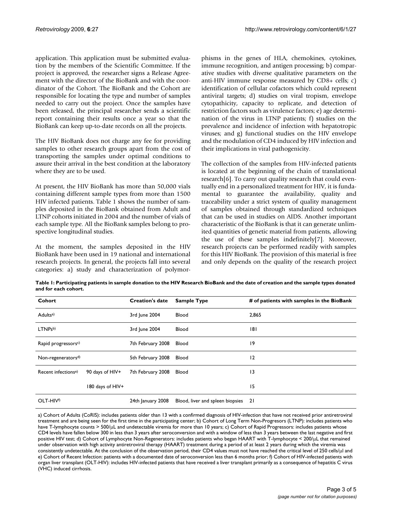application. This application must be submitted evaluation by the members of the Scientific Committee. If the project is approved, the researcher signs a Release Agreement with the director of the BioBank and with the coordinator of the Cohort. The BioBank and the Cohort are responsible for locating the type and number of samples needed to carry out the project. Once the samples have been released, the principal researcher sends a scientific report containing their results once a year so that the BioBank can keep up-to-date records on all the projects.

The HIV BioBank does not charge any fee for providing samples to other research groups apart from the cost of transporting the samples under optimal conditions to assure their arrival in the best condition at the laboratory where they are to be used.

At present, the HIV BioBank has more than 50,000 vials containing different sample types from more than 1500 HIV infected patients. Table 1 shows the number of samples deposited in the BioBank obtained from Adult and LTNP cohorts initiated in 2004 and the number of vials of each sample type. All the BioBank samples belong to prospective longitudinal studies.

At the moment, the samples deposited in the HIV BioBank have been used in 19 national and international research projects. In general, the projects fall into several categories: a) study and characterization of polymorphisms in the genes of HLA, chemokines, cytokines, immune recognition, and antigen processing; b) comparative studies with diverse qualitative parameters on the anti-HIV immune response measured by CD8+ cells; c) identification of cellular cofactors which could represent antiviral targets; d) studies on viral tropism, envelope cytopathicity, capacity to replicate, and detection of restriction factors such as virulence factors; e) age determination of the virus in LTNP patients; f) studies on the prevalence and incidence of infection with hepatotropic viruses; and g) functional studies on the HIV envelope and the modulation of CD4 induced by HIV infection and their implications in viral pathogenicity.

The collection of the samples from HIV-infected patients is located at the beginning of the chain of translational research[6]. To carry out quality research that could eventually end in a personalized treatment for HIV, it is fundamental to guarantee the availability, quality and traceability under a strict system of quality management of samples obtained through standardized techniques that can be used in studies on AIDS. Another important characteristic of the BioBank is that it can generate unlimited quantities of genetic material from patients, allowing the use of these samples indefinitely[7]. Moreover, research projects can be performed readily with samples for this HIV BioBank. The provision of this material is free and only depends on the quality of the research project

**Table 1: Participating patients in sample donation to the HIV Research BioBank and the date of creation and the sample types donated and for each cohort.**

| Cohort                          |                  | <b>Creation's date</b> | <b>Sample Type</b>               | # of patients with samples in the BioBank |
|---------------------------------|------------------|------------------------|----------------------------------|-------------------------------------------|
| Adults <sup>a)</sup>            |                  | 3rd June 2004          | Blood                            | 2,865                                     |
| LTNPsb)                         |                  | 3rd June 2004          | Blood                            | 181                                       |
| Rapid progressorsc)             |                  | 7th February 2008      | Blood                            | 19                                        |
| Non-regenerators <sup>d)</sup>  |                  | 5th February 2008      | Blood                            | 12                                        |
| Recent infections <sup>e)</sup> | 90 days of HIV+  | 7th February 2008      | Blood                            | 3                                         |
|                                 | 180 days of HIV+ |                        |                                  | 15                                        |
| OLT-HIVf)                       |                  | 24th January 2008      | Blood, liver and spleen biopsies | 21                                        |

a) Cohort of Adults (CoRIS): includes patients older than 13 with a confirmed diagnosis of HIV-infection that have not received prior antiretroviral treatment and are being seen for the first time in the participating center; b) Cohort of Long Term Non-Progresors (LTNP): includes patients who have T-lymphocyte counts > 500/μL and undetectable viremia for more than 10 years; c) Cohort of Rapid Progressors: includes patients whose CD4 levels have fallen below 300 in less than 3 years after seroconversion and with a window of less than 3 years between the last negative and first positive HIV test; d) Cohort of Lymphocyte Non-Regenerators: includes patients who began HAART with T-lymphocyte < 200/μL that remained under observation with high activity antiretroviral therapy (HAART) treatment during a period of at least 2 years during which the viremia was consistently undetectable. At the conclusion of the observation period, their CD4 values must not have reached the critical level of 250 cells/μl and e) Cohort of Recent Infection: patients with a documented date of seroconversion less than 6 months prior; f) Cohort of HIV-infected patients with organ liver transplant (OLT-HIV): includes HIV-infected patients that have received a liver transplant primarily as a consequence of hepatitis C virus (VHC) induced cirrhosis.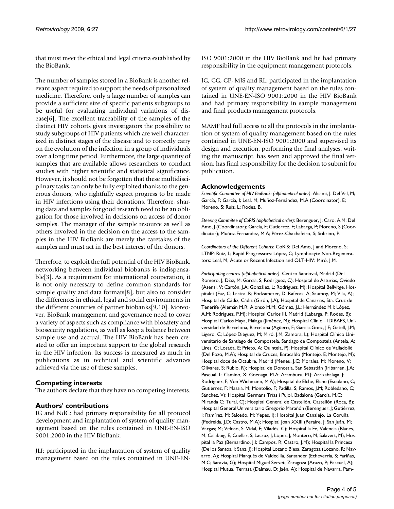that must meet the ethical and legal criteria established by the BioBank.

The number of samples stored in a BioBank is another relevant aspect required to support the needs of personalized medicine. Therefore, only a large number of samples can provide a sufficient size of specific patients subgroups to be useful for evaluating individual variations of disease[6]. The excellent traceability of the samples of the distinct HIV cohorts gives investigators the possibility to study subgroups of HIV-patients which are well characterized in distinct stages of the disease and to correctly carry on the evolution of the infection in a group of individuals over a long time period. Furthermore, the large quantity of samples that are available allows researchers to conduct studies with higher scientific and statistical significance. However, it should not be forgotten that these multidisciplinary tasks can only be fully exploited thanks to the generous donors, who rightfully expect progress to be made in HIV infections using their donations. Therefore, sharing data and samples for good research need to be an obligation for those involved in decisions on access of donor samples. The manager of the sample resource as well as others involved in the decision on the access to the samples in the HIV BioBank are merely the caretakes of the samples and must act in the best interest of the donors.

Therefore, to exploit the full potential of the HIV BioBank, networking between individual biobanks is indispensable[3]. As a requirement for international cooperation, it is not only necessary to define common standards for sample quality and data formats[8], but also to consider the differences in ethical, legal and social environments in the different countries of partner biobanks[9,10]. Moreover, BioBank management and governance need to cover a variety of aspects such as compliance with biosafety and biosecurity regulations, as well as keep a balance between sample use and accrual. The HIV BioBank has been created to offer an important support to the global research in the HIV infection. Its success is measured as much in publications as in technical and scientific advances achieved via the use of these samples.

## **Competing interests**

The authors declare that they have no competing interests.

### **Authors' contributions**

IG and NdC: had primary responsibility for all protocol development and implantation of system of quality management based on the rules contained in UNE-EN-ISO 9001:2000 in the HIV BioBank.

JLJ: participated in the implantation of system of quality management based on the rules contained in UNE-EN-

ISO 9001:2000 in the HIV BioBank and he had primary responsibility in the equipment management protocols.

JG, CG, CP, MJS and RL: participated in the implantation of system of quality management based on the rules contained in UNE-EN-ISO 9001:2000 in the HIV BioBank and had primary responsibility in sample management and final products management protocols.

MAMF had full access to all the protocols in the implantation of system of quality management based on the rules contained in UNE-EN-ISO 9001:2000 and supervised its design and execution, performing the final analyses, writing the manuscript. has seen and approved the final version; has final responsibility for the decision to submit for publication.

### **Acknowledgements**

*Scientific Committee of HIV BioBank: (alphabetical order)*: Alcamí, J; Del Val, M; García, F; García, I; Leal, M; Muñoz-Fernández, M.A (Coordinator), E; Moreno, S; Ruiz, L; Rodes, B.

*Steering Commitee of CoRIS (alphabetical order)*: Berenguer, J; Caro, A.M; Del Amo, J (Coordinator); García, F; Gutierrez, F; Labarga, P; Moreno, S (Coordinator); Muñoz-Fernández, M.A; Pérez-Chachafeiro, S; Sobrino, P.

*Coordinators of the Different Cohorts*: CoRIS: Del Amo, J and Moreno, S; LTNP: Ruiz, L; Rapid Progressors: López, C; Lymphocyte Non-Regenerators: Leal, M; Acute or Recent Infection and OLT-HIV: Miró, J.M.

*Participating centres (alphabetical order)*: Centro Sandoval, Madrid (Del Romero, J; Díaz, M; García, S; Rodríguez, C); Hospital de Asturias, Oviedo (Asensi, V; Cartón, J.A; González, L; Rodríguez, M); Hospital Bellvitge, Hospitalet (Faz, C; Lastra, R; Podzamczer, D; Rafecas, A; Saumoy, M; Vila, A); Hospital de Cádiz, Cádiz (Girón, J.A); Hospital de Canarias, Sta. Cruz de Tenerife (Alemán M.R; Alonso M.M; Gómez, J.L; Hernández M.I; López, A.M; Rodríguez, P.M); Hospital Carlos III, Madrid (Labarga, P; Rodes, B); Hospital Carlos Haya, Málaga (Jiménez, M); Hospital Clinic – IDIBAPS, Universidad de Barcelona, Barcelona (Agüero, F; García-Goez, J.F; Gatell, J.M; Ligero, C; López-Diéguez, M; Miró, J.M; Zamora, L); Hospital Clínico Universitario de Santiago de Compostela, Santiago de Compostela (Antela, A; Lires, C; Losada, E; Prieto, A; Quintela, P); Hospital Clínico de Valladolid (Del Pozo, M.A); Hospital de Cruces, Baracaldo (Montejo, E; Montejo, M); Hospital doce de Octubre, Madrid (Meneu, J.C; Morales, M; Moreno, V; Olivares, S; Rubio, R); Hospital de Donostia, San Sebastián (Iribarren, J.A; Pascual, L; Camino, X; Goenaga, M.A; Aramburu, M.J; Arrizabalaga, J; Rodríguez, F; Von Wichmann, M.A); Hospital de Elche, Elche (Escolano, C; Gutiérrez, F; Massia, M; Montolio, F; Padilla, S; Ramos, J.M; Robledano, C; Sánchez, V); Hospital Germans Trías i Pujol, Badalona (García, M.C; Miranda C; Tural, C); Hospital General de Castellón, Castellón (Roca, B); Hospital General Universitario Gregorio Marañón (Berenguer, J; Gutiérrez, I; Ramírez, M; Salcedo, M; Yepes, I); Hospital Juan Canalejo, La Coruña (Pedreida, J.D; Castro, M.A); Hospital Joan XXIII (Peraire, J; San Juán, M; Vargas; M; Veloso, S; Vidal, F; Viladés, C); Hospital la Fe, Valencia (Blanes, M; Calabuig, E; Cuellar, S; Lacruz, J; López, J; Montero, M; Salavert, M); Hospital la Paz (Bernardino, J.I; Campos, R; Castro, J.M); Hospital la Princesa (De los Santos, I; Sanz, J); Hospital Lozano Blesa, Zaragoza (Lozano, R; Navarro, A); Hospital Marqués de Valdecilla, Santander (Echeverría, S; Fariñas, M.C; Saravia, G); Hospital Miguel Servet, Zaragoza (Arazo, P; Pascual, A); Hospital Mutua, Terrasa (Dalmau, D; Jaén, A); Hospital de Navarra, Pam-